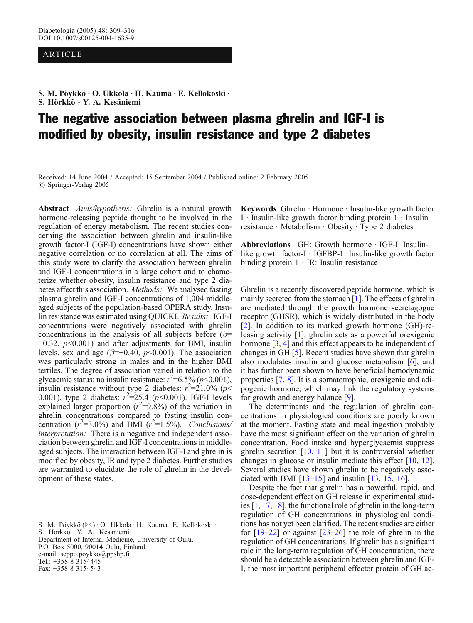# ARTICLE

S. M. Pöykkö · O. Ukkola · H. Kauma · E. Kellokoski · S. Hörkkö . Y. A. Kesäniemi

# The negative association between plasma ghrelin and IGF-I is modified by obesity, insulin resistance and type 2 diabetes

Received: 14 June 2004 / Accepted: 15 September 2004 / Published online: 2 February 2005  $\circ$  Springer-Verlag 2005

Abstract Aims/hypothesis: Ghrelin is a natural growth hormone-releasing peptide thought to be involved in the regulation of energy metabolism. The recent studies concerning the association between ghrelin and insulin-like growth factor-I (IGF-I) concentrations have shown either negative correlation or no correlation at all. The aims of this study were to clarify the association between ghrelin and IGF-I concentrations in a large cohort and to characterize whether obesity, insulin resistance and type 2 diabetes affect this association. Methods: We analysed fasting plasma ghrelin and IGF-I concentrations of 1,004 middleaged subjects of the population-based OPERA study. Insulin resistance was estimated using QUICKI. Results: IGF-I concentrations were negatively associated with ghrelin concentrations in the analysis of all subjects before ( $\beta$ =  $-0.32$ ,  $p<0.001$ ) and after adjustments for BMI, insulin levels, sex and age ( $\beta$ =−0.40,  $p$ <0.001). The association was particularly strong in males and in the higher BMI tertiles. The degree of association varied in relation to the glycaemic status: no insulin resistance:  $r^2 = 6.5\%$  ( $p < 0.001$ ), insulin resistance without type 2 diabetes:  $r^2 = 21.0\%$  ( $p^2$ ) 0.001), type 2 diabetes:  $r^2 = 25.4$  ( $p < 0.001$ ). IGF-I levels explained larger proportion ( $r^2$ =9.8%) of the variation in ghrelin concentrations compared to fasting insulin concentration ( $r^2$ =3.0%) and BMI ( $r^2$ =1.5%). *Conclusions*/ interpretation: There is a negative and independent association between ghrelin and IGF-I concentrations in middleaged subjects. The interaction between IGF-I and ghrelin is modified by obesity, IR and type 2 diabetes. Further studies are warranted to elucidate the role of ghrelin in the development of these states.

S. M. Pöykkö (*\**) . O. Ukkola . H. Kauma . E. Kellokoski . S. Hörkkö . Y. A. Kesäniemi Department of Internal Medicine, University of Oulu, P.O. Box 5000, 90014 Oulu, Finland e-mail: seppo.poykko@ppshp.fi Tel.: +358-8-3154445 Fax: +358-8-3154543

Keywords Ghrelin . Hormone . Insulin-like growth factor I  $\cdot$  Insulin-like growth factor binding protein  $1 \cdot$  Insulin resistance . Metabolism . Obesity . Type 2 diabetes

Abbreviations GH: Growth hormone · IGF-I: Insulinlike growth factor- $I \cdot IGFBP-1$ : Insulin-like growth factor binding protein  $1 \cdot IR$ : Insulin resistance

Ghrelin is a recently discovered peptide hormone, which is mainly secreted from the stomach [[1\]](#page-5-0). The effects of ghrelin are mediated through the growth hormone secretagogue receptor (GHSR), which is widely distributed in the body [[2\]](#page-6-0). In addition to its marked growth hormone (GH)-releasing activity [\[1\]](#page-5-0), ghrelin acts as a powerful orexigenic hormone [\[3](#page-6-0), [4\]](#page-6-0) and this effect appears to be independent of changes in GH [\[5](#page-6-0)]. Recent studies have shown that ghrelin also modulates insulin and glucose metabolism [\[6\]](#page-6-0), and it has further been shown to have beneficial hemodynamic properties [[7](#page-6-0), [8\]](#page-6-0). It is a somatotrophic, orexigenic and adipogenic hormone, which may link the regulatory systems for growth and energy balance [[9](#page-6-0)].

The determinants and the regulation of ghrelin concentrations in physiological conditions are poorly known at the moment. Fasting state and meal ingestion probably have the most significant effect on the variation of ghrelin concentration. Food intake and hyperglycaemia suppress ghrelin secretion [[10](#page-6-0), [11](#page-6-0)] but it is controversial whether changes in glucose or insulin mediate this effect [\[10,](#page-6-0) [12](#page-6-0)]. Several studies have shown ghrelin to be negatively associated with BMI  $[13–15]$  $[13–15]$  $[13–15]$  $[13–15]$  and insulin  $[13, 15, 16]$  $[13, 15, 16]$  $[13, 15, 16]$  $[13, 15, 16]$  $[13, 15, 16]$  $[13, 15, 16]$ .

Despite the fact that ghrelin has a powerful, rapid, and dose-dependent effect on GH release in experimental studies [\[1](#page-5-0), [17](#page-6-0), [18](#page-6-0)], the functional role of ghrelin in the long-term regulation of GH concentrations in physiological conditions has not yet been clarified. The recent studies are either for  $[19-22]$  $[19-22]$  $[19-22]$  $[19-22]$  or against  $[23-26]$  $[23-26]$  $[23-26]$  $[23-26]$  the role of ghrelin in the regulation of GH concentrations. If ghrelin has a significant role in the long-term regulation of GH concentration, there should be a detectable association between ghrelin and IGF-I, the most important peripheral effector protein of GH ac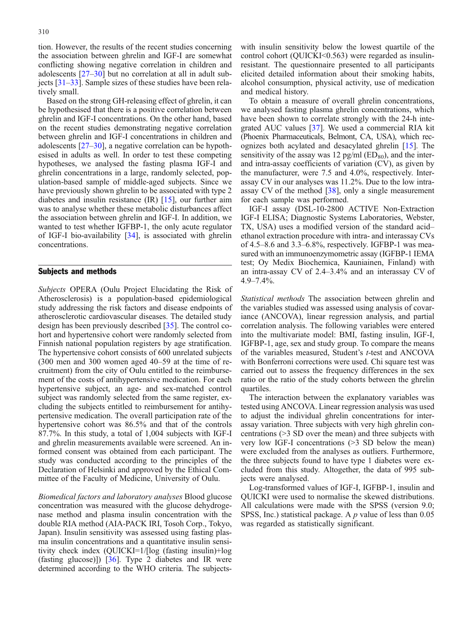tion. However, the results of the recent studies concerning the association between ghrelin and IGF-I are somewhat conflicting showing negative correlation in children and adolescents [[27](#page-6-0)–[30\]](#page-6-0) but no correlation at all in adult subjects [[31](#page-6-0)–[33\]](#page-6-0). Sample sizes of these studies have been relatively small.

Based on the strong GH-releasing effect of ghrelin, it can be hypothesised that there is a positive correlation between ghrelin and IGF-I concentrations. On the other hand, based on the recent studies demonstrating negative correlation between ghrelin and IGF-I concentrations in children and adolescents [\[27](#page-6-0)–[30](#page-6-0)], a negative correlation can be hypothesised in adults as well. In order to test these competing hypotheses, we analysed the fasting plasma IGF-I and ghrelin concentrations in a large, randomly selected, population-based sample of middle-aged subjects. Since we have previously shown ghrelin to be associated with type 2 diabetes and insulin resistance (IR) [\[15\]](#page-6-0), our further aim was to analyse whether these metabolic disturbances affect the association between ghrelin and IGF-I. In addition, we wanted to test whether IGFBP-1, the only acute regulator of IGF-I bio-availability [\[34\]](#page-6-0), is associated with ghrelin concentrations.

### Subjects and methods

Subjects OPERA (Oulu Project Elucidating the Risk of Atherosclerosis) is a population-based epidemiological study addressing the risk factors and disease endpoints of atherosclerotic cardiovascular diseases. The detailed study design has been previously described [[35](#page-6-0)]. The control cohort and hypertensive cohort were randomly selected from Finnish national population registers by age stratification. The hypertensive cohort consists of 600 unrelated subjects (300 men and 300 women aged 40–59 at the time of recruitment) from the city of Oulu entitled to the reimbursement of the costs of antihypertensive medication. For each hypertensive subject, an age- and sex-matched control subject was randomly selected from the same register, excluding the subjects entitled to reimbursement for antihypertensive medication. The overall participation rate of the hypertensive cohort was 86.5% and that of the controls 87.7%. In this study, a total of 1,004 subjects with IGF-I and ghrelin measurements available were screened. An informed consent was obtained from each participant. The study was conducted according to the principles of the Declaration of Helsinki and approved by the Ethical Committee of the Faculty of Medicine, University of Oulu.

Biomedical factors and laboratory analyses Blood glucose concentration was measured with the glucose dehydrogenase method and plasma insulin concentration with the double RIA method (AIA-PACK IRI, Tosoh Corp., Tokyo, Japan). Insulin sensitivity was assessed using fasting plasma insulin concentrations and a quantitative insulin sensitivity check index (QUICKI=1/[log (fasting insulin)+log (fasting glucose)])  $[36]$ . Type 2 diabetes and IR were determined according to the WHO criteria. The subjects-

with insulin sensitivity below the lowest quartile of the control cohort (QUICKI<0.563) were regarded as insulinresistant. The questionnaire presented to all participants elicited detailed information about their smoking habits, alcohol consumption, physical activity, use of medication and medical history.

To obtain a measure of overall ghrelin concentrations, we analysed fasting plasma ghrelin concentrations, which have been shown to correlate strongly with the 24-h integrated AUC values [[37](#page-6-0)]. We used a commercial RIA kit (Phoenix Pharmaceuticals, Belmont, CA, USA), which recognizes both acylated and desacylated ghrelin [\[15\]](#page-6-0). The sensitivity of the assay was 12 pg/ml  $(ED_{80})$ , and the interand intra-assay coefficients of variation (CV), as given by the manufacturer, were 7.5 and 4.0%, respectively. Interassay CV in our analyses was 11.2%. Due to the low intraassay CV of the method [\[38](#page-6-0)], only a single measurement for each sample was performed.

IGF-I assay (DSL-10-2800 ACTIVE Non-Extraction IGF-I ELISA; Diagnostic Systems Laboratories, Webster, TX, USA) uses a modified version of the standard acid– ethanol extraction procedure with intra- and interassay CVs of 4.5–8.6 and 3.3–6.8%, respectively. IGFBP-1 was measured with an immunoenzymometric assay (IGFBP-1 IEMA test; Oy Medix Biochemica, Kauniainen, Finland) with an intra-assay CV of 2.4–3.4% and an interassay CV of 4.9–7.4%.

Statistical methods The association between ghrelin and the variables studied was assessed using analysis of covariance (ANCOVA), linear regression analysis, and partial correlation analysis. The following variables were entered into the multivariate model: BMI, fasting insulin, IGF-I, IGFBP-1, age, sex and study group. To compare the means of the variables measured, Student's t-test and ANCOVA with Bonferroni corrections were used. Chi square test was carried out to assess the frequency differences in the sex ratio or the ratio of the study cohorts between the ghrelin quartiles.

The interaction between the explanatory variables was tested using ANCOVA. Linear regression analysis was used to adjust the individual ghrelin concentrations for interassay variation. Three subjects with very high ghrelin concentrations (>3 SD over the mean) and three subjects with very low IGF-I concentrations (>3 SD below the mean) were excluded from the analyses as outliers. Furthermore, the three subjects found to have type 1 diabetes were excluded from this study. Altogether, the data of 995 subjects were analysed.

Log-transformed values of IGF-I, IGFBP-1, insulin and QUICKI were used to normalise the skewed distributions. All calculations were made with the SPSS (version 9.0; SPSS, Inc.) statistical package. A p value of less than 0.05 was regarded as statistically significant.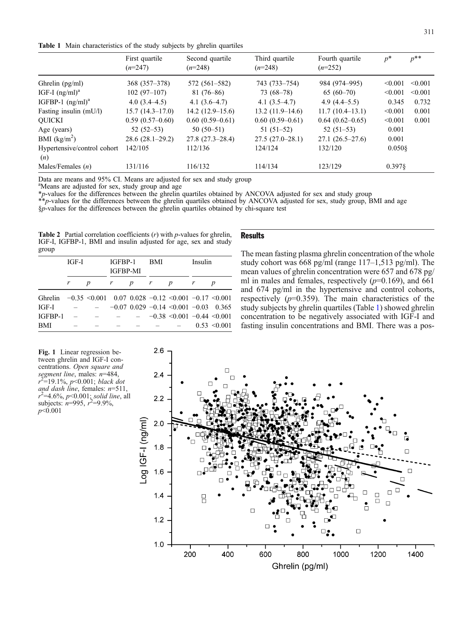<span id="page-2-0"></span>Table 1 Main characteristics of the study subjects by ghrelin quartiles

|                                    | First quartile<br>$(n=247)$ | Second quartile<br>$(n=248)$ | Third quartile<br>$(n=248)$ | Fourth quartile<br>$(n=252)$ | $p^*$   | $p^{**}$     |
|------------------------------------|-----------------------------|------------------------------|-----------------------------|------------------------------|---------|--------------|
| Ghrelin $(pg/ml)$                  | $368(357-378)$              | 572 (561–582)                | 743 (733–754)               | 984 (974–995)                | < 0.001 | $\leq 0.001$ |
| IGF-I $(ng/ml)^a$                  | $102(97-107)$               | $81(76-86)$                  | $73(68-78)$                 | $65(60-70)$                  | < 0.001 | < 0.001      |
| IGFBP-1 $(ng/ml)^a$                | $4.0(3.4-4.5)$              | 4.1 $(3.6-4.7)$              | 4.1 $(3.5-4.7)$             | $4.9(4.4-5.5)$               | 0.345   | 0.732        |
| Fasting insulin $(mU/I)$           | $15.7(14.3-17.0)$           | $14.2(12.9-15.6)$            | $13.2(11.9-14.6)$           | $11.7(10.4-13.1)$            | < 0.001 | 0.001        |
| <b>OUICKI</b>                      | $0.59(0.57-0.60)$           | $0.60(0.59-0.61)$            | $0.60(0.59-0.61)$           | $0.64(0.62 - 0.65)$          | < 0.001 | 0.001        |
| Age (years)                        | $52(52-53)$                 | $50(50-51)$                  | $51(51-52)$                 | $52(51-53)$                  | 0.001   |              |
| BMI $(kg/m^2)$                     | $28.6(28.1-29.2)$           | $27.8(27.3-28.4)$            | $27.5(27.0-28.1)$           | $27.1(26.5-27.6)$            | 0.001   |              |
| Hypertensive/control cohort<br>(n) | 142/105                     | 112/136                      | 124/124                     | 132/120                      | 0.050   |              |
| Males/Females $(n)$                | 131/116                     | 116/132                      | 114/134                     | 123/129                      | 0.397   |              |

Data are means and 95% CI. Means are adjusted for sex and study group

<sup>a</sup>Means are adjusted for sex, study group and age

\*p-values for the differences between the ghrelin quartiles obtained by ANCOVA adjusted for sex and study group

\*\*p-values for the differences between the ghrelin quartiles obtained by ANCOVA adjusted for sex, study group, BMI and age §p-values for the differences between the ghrelin quartiles obtained by chi-square test

**Table 2** Partial correlation coefficients  $(r)$  with p-values for ghrelin, IGF-I, IGFBP-1, BMI and insulin adjusted for age, sex and study group

|                                                                          | IGF-I |  | IGFBP-1<br>IGFBP-MI |   | BMI |                                             | Insulin |                  |  |
|--------------------------------------------------------------------------|-------|--|---------------------|---|-----|---------------------------------------------|---------|------------------|--|
|                                                                          |       |  | r                   | p | r   | p                                           |         |                  |  |
| Ghrelin $-0.35 \le 0.001$ 0.07 0.028 $-0.12 \le 0.001$ $-0.17 \le 0.001$ |       |  |                     |   |     |                                             |         |                  |  |
| IGF-I                                                                    |       |  |                     |   |     | $-0.07$ 0.029 $-0.14$ < 0.001 $-0.03$ 0.365 |         |                  |  |
| IGFBP-1                                                                  |       |  |                     |   |     | $-0.38 \le 0.001 -0.44 \le 0.001$           |         |                  |  |
| <b>BMI</b>                                                               |       |  |                     |   |     |                                             |         | $0.53 \le 0.001$ |  |

## Results

The mean fasting plasma ghrelin concentration of the whole study cohort was 668 pg/ml (range 117–1,513 pg/ml). The mean values of ghrelin concentration were 657 and 678 pg/ ml in males and females, respectively  $(p=0.169)$ , and 661 and 674 pg/ml in the hypertensive and control cohorts, respectively  $(p=0.359)$ . The main characteristics of the study subjects by ghrelin quartiles (Table 1) showed ghrelin concentration to be negatively associated with IGF-I and fasting insulin concentrations and BMI. There was a pos-

Fig. 1 Linear regression between ghrelin and IGF-I concentrations. Open square and segment line, males: n=484,  $r^2 = 19.1\%$ , p<0.001; black dot and dash line, females:  $n=511$ ,  $r^2$ =4.6%, p<0.001; solid line, all subjects:  $n=995$ ,  $r^2=9.9\%$ ,  $p<0.001$ 

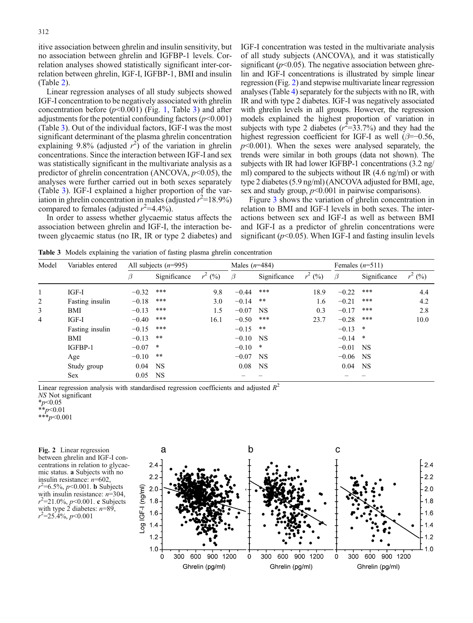itive association between ghrelin and insulin sensitivity, but no association between ghrelin and IGFBP-1 levels. Correlation analyses showed statistically significant inter-correlation between ghrelin, IGF-I, IGFBP-1, BMI and insulin (Table [2](#page-2-0)).

Linear regression analyses of all study subjects showed IGF-I concentration to be negatively associated with ghrelin concentration before  $(p<0.001)$  (Fig. [1,](#page-2-0) Table 3) and after adjustments for the potential confounding factors  $(p<0.001)$ (Table 3). Out of the individual factors, IGF-I was the most significant determinant of the plasma ghrelin concentration explaining 9.8% (adjusted  $r^2$ ) of the variation in ghrelin concentrations. Since the interaction between IGF-I and sex was statistically significant in the multivariate analysis as a predictor of ghrelin concentration (ANCOVA,  $p$ <0.05), the analyses were further carried out in both sexes separately (Table 3). IGF-I explained a higher proportion of the variation in ghrelin concentration in males (adjusted  $r^2$ =18.9%) compared to females (adjusted  $r^2=4.4\%$ ).

In order to assess whether glycaemic status affects the association between ghrelin and IGF-I, the interaction between glycaemic status (no IR, IR or type 2 diabetes) and IGF-I concentration was tested in the multivariate analysis of all study subjects (ANCOVA), and it was statistically significant ( $p$ <0.05). The negative association between ghrelin and IGF-I concentrations is illustrated by simple linear regression (Fig. 2) and stepwise multivariate linear regression analyses (Table [4\)](#page-4-0) separately for the subjects with no IR, with IR and with type 2 diabetes. IGF-I was negatively associated with ghrelin levels in all groups. However, the regression models explained the highest proportion of variation in subjects with type 2 diabetes ( $r^2$ =33.7%) and they had the highest regression coefficient for IGF-I as well ( $\beta$ =−0.56,  $p<0.001$ ). When the sexes were analysed separately, the trends were similar in both groups (data not shown). The subjects with IR had lower IGFBP-1 concentrations (3.2 ng/ ml) compared to the subjects without IR (4.6 ng/ml) or with type 2 diabetes (5.9 ng/ml) (ANCOVA adjusted for BMI, age, sex and study group,  $p<0.001$  in pairwise comparisons).

Figure [3](#page-4-0) shows the variation of ghrelin concentration in relation to BMI and IGF-I levels in both sexes. The interactions between sex and IGF-I as well as between BMI and IGF-I as a predictor of ghrelin concentrations were significant  $(p<0.05)$ . When IGF-I and fasting insulin levels

Table 3 Models explaining the variation of fasting plasma ghrelin concentration

| Variables entered<br>Model |                 | All subjects $(n=995)$ |              |          | Males $(n=484)$ |              |          | Females $(n=511)$ |              |           |
|----------------------------|-----------------|------------------------|--------------|----------|-----------------|--------------|----------|-------------------|--------------|-----------|
|                            |                 | β                      | Significance | $r^2(%)$ | β               | Significance | $r^2(%)$ | $\beta$           | Significance | $r^2$ (%) |
| 1                          | $IGF-I$         | $-0.32$                | $***$        | 9.8      | $-0.44$         | ***          | 18.9     | $-0.22$           | $***$        | 4.4       |
| 2                          | Fasting insulin | $-0.18$                | $***$        | 3.0      | $-0.14$         | $***$        | 1.6      | $-0.21$           | $***$        | 4.2       |
| 3                          | BMI             | $-0.13$                | $***$        | 1.5      | $-0.07$         | <b>NS</b>    | 0.3      | $-0.17$           | $***$        | 2.8       |
| 4                          | IGF-I           | $-0.40$                | $***$        | 16.1     | $-0.50$         | ***          | 23.7     | $-0.28$           | $***$        | 10.0      |
|                            | Fasting insulin | $-0.15$                | $***$        |          | $-0.15$         | **           |          | $-0.13$           | $\ast$       |           |
|                            | BMI             | $-0.13$                | $***$        |          | $-0.10$ NS      |              |          | $-0.14$           | $\ast$       |           |
|                            | IGFBP-1         | $-0.07$                | $\ast$       |          | $-0.10$         | $\ast$       |          | $-0.01$           | <b>NS</b>    |           |
|                            | Age             | $-0.10$                | $**$         |          | $-0.07$         | <b>NS</b>    |          | $-0.06$           | NS           |           |
|                            | Study group     | 0.04                   | <b>NS</b>    |          | 0.08            | <b>NS</b>    |          | 0.04              | <b>NS</b>    |           |
|                            | <b>Sex</b>      | 0.05                   | <b>NS</b>    |          |                 |              |          |                   |              |           |

Linear regression analysis with standardised regression coefficients and adjusted  $R^2$ 

NS Not significant

 $*_{p<0.05}$ 

 $*_{p<0.01}$ 

\*\*\* $p<0.001$ 

Fig. 2 Linear regression between ghrelin and IGF-I concentrations in relation to glycaemic status. a Subjects with no insulin resistance:  $n=602$ ,  $r^2$ =6.5%, p<0.001. **b** Subjects with insulin resistance:  $n=304$ ,  $r^2$ =21.0%, p<0.001. c Subjects with type 2 diabetes:  $n=89$ ,  $r^2$  = 25.4%, p < 0.001

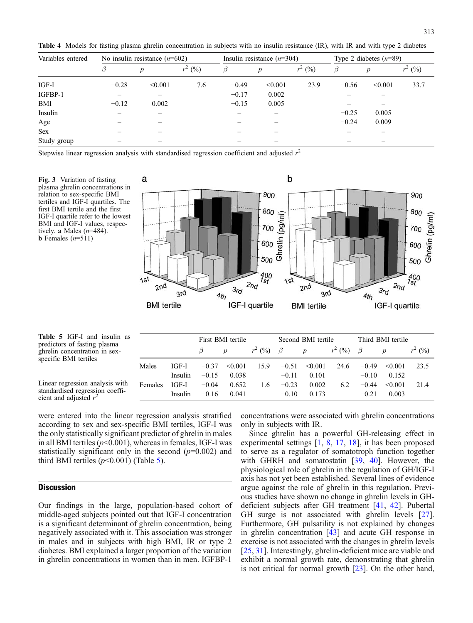<span id="page-4-0"></span>Table 4 Models for fasting plasma ghrelin concentration in subjects with no insulin resistance (IR), with IR and with type 2 diabetes

| Variables entered |         | No insulin resistance $(n=602)$ |                     |         | Insulin resistance $(n=304)$ |              | Type 2 diabetes $(n=89)$ |         |          |
|-------------------|---------|---------------------------------|---------------------|---------|------------------------------|--------------|--------------------------|---------|----------|
|                   | В       | $\boldsymbol{p}$                | (0/0)<br>$r^{\sim}$ | B       | $\boldsymbol{p}$             | (%)<br>$r^2$ | β                        | p       | (%)<br>v |
| IGF-I             | $-0.28$ | < 0.001                         | 7.6                 | $-0.49$ | < 0.001                      | 23.9         | $-0.56$                  | < 0.001 | 33.7     |
| IGFBP-1           |         |                                 |                     | $-0.17$ | 0.002                        |              |                          |         |          |
| BMI               | $-0.12$ | 0.002                           |                     | $-0.15$ | 0.005                        |              |                          |         |          |
| Insulin           |         |                                 |                     |         |                              |              | $-0.25$                  | 0.005   |          |
| Age               |         | -                               |                     |         |                              |              | $-0.24$                  | 0.009   |          |
| Sex               |         |                                 |                     |         |                              |              |                          |         |          |
| Study group       |         | –                               |                     |         |                              |              |                          | –       |          |

Stepwise linear regression analysis with standardised regression coefficient and adjusted  $r^2$ 

Fig. 3 Variation of fasting plasma ghrelin concentrations in relation to sex-specific BMI tertiles and IGF-I quartiles. The first BMI tertile and the first IGF-I quartile refer to the lowest BMI and IGF-I values, respectively. **a** Males  $(n=484)$ . **b** Females  $(n=511)$ 



| <b>Table 5</b> IGF-I and insulin as<br>predictors of fasting plasma                            |         |         | First BMI tertile |         |           | Second BMI tertile |         |           | Third BMI tertile |         |           |
|------------------------------------------------------------------------------------------------|---------|---------|-------------------|---------|-----------|--------------------|---------|-----------|-------------------|---------|-----------|
| ghrelin concentration in sex-                                                                  |         |         |                   |         | $r^2($ %) |                    |         | $r^2 (%)$ |                   |         | $r^2($ %) |
| specific BMI tertiles                                                                          | Males   | IGF-I   | $-0.37$           | < 0.001 | 15.9      | $-0.51$            | < 0.001 | 24.6      | $-0.49$           | < 0.001 | 23.5      |
|                                                                                                |         | Insulin | $-0.15$           | 0.038   |           | $-0.11$            | 0.101   |           | $-0.10$           | 0.152   |           |
| Linear regression analysis with<br>standardised regression coeffi-<br>cient and adjusted $r^2$ | Females | IGF-I   | $-0.04$           | 0.652   | 1.6       | $-0.23$            | 0.002   | 6.2       | $-0.44$           | < 0.001 | 21.4      |
|                                                                                                |         | Insulin | $-0.16$           | 0.041   |           | $-0.10$            | 0.173   |           | $-0.21$           | 0.003   |           |

were entered into the linear regression analysis stratified according to sex and sex-specific BMI tertiles, IGF-I was the only statistically significant predictor of ghrelin in males in all BMI tertiles  $(p<0.001)$ , whereas in females, IGF-I was statistically significant only in the second  $(p=0.002)$  and third BMI tertiles  $(p<0.001)$  (Table 5).

# **Discussion**

Our findings in the large, population-based cohort of middle-aged subjects pointed out that IGF-I concentration is a significant determinant of ghrelin concentration, being negatively associated with it. This association was stronger in males and in subjects with high BMI, IR or type 2 diabetes. BMI explained a larger proportion of the variation in ghrelin concentrations in women than in men. IGFBP-1

concentrations were associated with ghrelin concentrations only in subjects with IR.

Since ghrelin has a powerful GH-releasing effect in experimental settings [\[1,](#page-5-0) [8](#page-6-0), [17,](#page-6-0) [18](#page-6-0)], it has been proposed to serve as a regulator of somatotroph function together with GHRH and somatostatin [\[39,](#page-6-0) [40\]](#page-6-0). However, the physiological role of ghrelin in the regulation of GH/IGF-I axis has not yet been established. Several lines of evidence argue against the role of ghrelin in this regulation. Previous studies have shown no change in ghrelin levels in GHdeficient subjects after GH treatment [\[41,](#page-6-0) [42\]](#page-6-0). Pubertal GH surge is not associated with ghrelin levels [[27](#page-6-0)]. Furthermore, GH pulsatility is not explained by changes in ghrelin concentration [\[43\]](#page-7-0) and acute GH response in exercise is not associated with the changes in ghrelin levels [[25](#page-6-0), [31](#page-6-0)]. Interestingly, ghrelin-deficient mice are viable and exhibit a normal growth rate, demonstrating that ghrelin is not critical for normal growth [\[23\]](#page-6-0). On the other hand,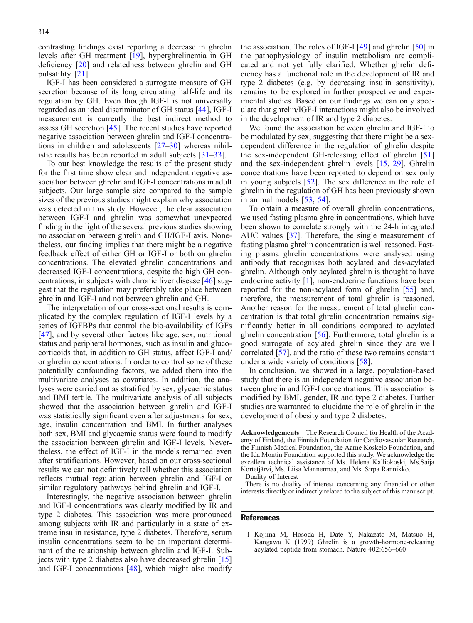<span id="page-5-0"></span>contrasting findings exist reporting a decrease in ghrelin levels after GH treatment [\[19\]](#page-6-0), hyperghrelinemia in GH deficiency [[20](#page-6-0)] and relatedness between ghrelin and GH pulsatility [\[21](#page-6-0)].

IGF-I has been considered a surrogate measure of GH secretion because of its long circulating half-life and its regulation by GH. Even though IGF-I is not universally regarded as an ideal discriminator of GH status [\[44\]](#page-7-0), IGF-I measurement is currently the best indirect method to assess GH secretion [\[45\]](#page-7-0). The recent studies have reported negative association between ghrelin and IGF-I concentrations in children and adolescents [[27](#page-6-0)–[30\]](#page-6-0) whereas nihilistic results has been reported in adult subjects [\[31](#page-6-0)–[33\]](#page-6-0).

To our best knowledge the results of the present study for the first time show clear and independent negative association between ghrelin and IGF-I concentrations in adult subjects. Our large sample size compared to the sample sizes of the previous studies might explain why association was detected in this study. However, the clear association between IGF-I and ghrelin was somewhat unexpected finding in the light of the several previous studies showing no association between ghrelin and GH/IGF-I axis. Nonetheless, our finding implies that there might be a negative feedback effect of either GH or IGF-I or both on ghrelin concentrations. The elevated ghrelin concentrations and decreased IGF-I concentrations, despite the high GH concentrations, in subjects with chronic liver disease [[46](#page-7-0)] suggest that the regulation may preferably take place between ghrelin and IGF-I and not between ghrelin and GH.

The interpretation of our cross-sectional results is complicated by the complex regulation of IGF-I levels by a series of IGFBPs that control the bio-availability of IGFs [[47](#page-7-0)], and by several other factors like age, sex, nutritional status and peripheral hormones, such as insulin and glucocorticoids that, in addition to GH status, affect IGF-I and/ or ghrelin concentrations. In order to control some of these potentially confounding factors, we added them into the multivariate analyses as covariates. In addition, the analyses were carried out as stratified by sex, glycaemic status and BMI tertile. The multivariate analysis of all subjects showed that the association between ghrelin and IGF-I was statistically significant even after adjustments for sex, age, insulin concentration and BMI. In further analyses both sex, BMI and glycaemic status were found to modify the association between ghrelin and IGF-I levels. Nevertheless, the effect of IGF-I in the models remained even after stratifications. However, based on our cross-sectional results we can not definitively tell whether this association reflects mutual regulation between ghrelin and IGF-I or similar regulatory pathways behind ghrelin and IGF-I.

Interestingly, the negative association between ghrelin and IGF-I concentrations was clearly modified by IR and type 2 diabetes. This association was more pronounced among subjects with IR and particularly in a state of extreme insulin resistance, type 2 diabetes. Therefore, serum insulin concentrations seem to be an important determinant of the relationship between ghrelin and IGF-I. Subjects with type 2 diabetes also have decreased ghrelin [\[15\]](#page-6-0) and IGF-I concentrations [[48](#page-7-0)], which might also modify

the association. The roles of IGF-I [[49](#page-7-0)] and ghrelin [\[50\]](#page-7-0) in the pathophysiology of insulin metabolism are complicated and not yet fully clarified. Whether ghrelin deficiency has a functional role in the development of IR and type 2 diabetes (e.g. by decreasing insulin sensitivity), remains to be explored in further prospective and experimental studies. Based on our findings we can only speculate that ghrelin/IGF-I interactions might also be involved in the development of IR and type 2 diabetes.

We found the association between ghrelin and IGF-I to be modulated by sex, suggesting that there might be a sexdependent difference in the regulation of ghrelin despite the sex-independent GH-releasing effect of ghrelin [\[51\]](#page-7-0) and the sex-independent ghrelin levels [\[15,](#page-6-0) [29](#page-6-0)]. Ghrelin concentrations have been reported to depend on sex only in young subjects [\[52\]](#page-7-0). The sex difference in the role of ghrelin in the regulation of GH has been previously shown in animal models [\[53,](#page-7-0) [54](#page-7-0)].

To obtain a measure of overall ghrelin concentrations, we used fasting plasma ghrelin concentrations, which have been shown to correlate strongly with the 24-h integrated AUC values [\[37\]](#page-6-0). Therefore, the single measurement of fasting plasma ghrelin concentration is well reasoned. Fasting plasma ghrelin concentrations were analysed using antibody that recognises both acylated and des-acylated ghrelin. Although only acylated ghrelin is thought to have endocrine activity [1], non-endocrine functions have been reported for the non-acylated form of ghrelin [[55](#page-7-0)] and, therefore, the measurement of total ghrelin is reasoned. Another reason for the measurement of total ghrelin concentration is that total ghrelin concentration remains significantly better in all conditions compared to acylated ghrelin concentration [\[56\]](#page-7-0). Furthermore, total ghrelin is a good surrogate of acylated ghrelin since they are well correlated [\[57\]](#page-7-0), and the ratio of these two remains constant under a wide variety of conditions [[58](#page-7-0)].

In conclusion, we showed in a large, population-based study that there is an independent negative association between ghrelin and IGF-I concentrations. This association is modified by BMI, gender, IR and type 2 diabetes. Further studies are warranted to elucidate the role of ghrelin in the development of obesity and type 2 diabetes.

Acknowledgements The Research Council for Health of the Academy of Finland, the Finnish Foundation for Cardiovascular Research, the Finnish Medical Foundation, the Aarne Koskelo Foundation, and the Ida Montin Foundation supported this study. We acknowledge the excellent technical assistance of Ms. Helena Kalliokoski, Ms.Saija Kortetjärvi, Ms. Liisa Mannermaa, and Ms. Sirpa Rannikko.

Duality of Interest

There is no duality of interest concerning any financial or other interests directly or indirectly related to the subject of this manuscript.

#### References

1. Kojima M, Hosoda H, Date Y, Nakazato M, Matsuo H, Kangawa K (1999) Ghrelin is a growth-hormone-releasing acylated peptide from stomach. Nature 402:656–660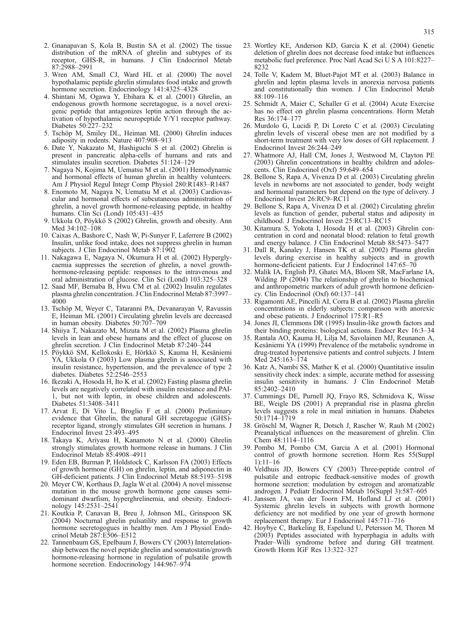- <span id="page-6-0"></span>2. Gnanapavan S, Kola B, Bustin SA et al. (2002) The tissue distribution of the mRNA of ghrelin and subtypes of its receptor, GHS-R, in humans. J Clin Endocrinol Metab 87:2988–2991
- 3. Wren AM, Small CJ, Ward HL et al. (2000) The novel hypothalamic peptide ghrelin stimulates food intake and growth hormone secretion. Endocrinology 141:4325–4328
- 4. Shintani M, Ogawa Y, Ebihara K et al. (2001) Ghrelin, an endogenous growth hormone secretagogue, is a novel orexigenic peptide that antagonizes leptin action through the activation of hypothalamic neuropeptide Y/Y1 receptor pathway. Diabetes 50:227–232
- 5. Tschöp M, Smiley DL, Heiman ML (2000) Ghrelin induces adiposity in rodents. Nature 407:908–913
- 6. Date Y, Nakazato M, Hashiguchi S et al. (2002) Ghrelin is present in pancreatic alpha-cells of humans and rats and stimulates insulin secretion. Diabetes 51:124–129
- 7. Nagaya N, Kojima M, Uematsu M et al. (2001) Hemodynamic and hormonal effects of human ghrelin in healthy volunteers. Am J Physiol Regul Integr Comp Physiol 280:R1483–R1487
- 8. Enomoto M, Nagaya N, Uematsu M et al. (2003) Cardiovascular and hormonal effects of subcutaneous administration of ghrelin, a novel growth hormone-releasing peptide, in healthy humans. Clin Sci (Lond) 105:431–435
- 9. Ukkola O, Pöykkö S (2002) Ghrelin, growth and obesity. Ann Med 34:102–108
- 10. Caixas A, Bashore C, Nash W, Pi-Sunyer F, Laferrere B (2002) Insulin, unlike food intake, does not suppress ghrelin in human subjects. J Clin Endocrinol Metab 87:1902
- 11. Nakagawa E, Nagaya N, Okumura H et al. (2002) Hyperglycaemia suppresses the secretion of ghrelin, a novel growthhormone-releasing peptide: responses to the intravenous and oral administration of glucose. Clin Sci (Lond) 103:325–328
- 12. Saad MF, Bernaba B, Hwu CM et al. (2002) Insulin regulates plasma ghrelin concentration. J Clin Endocrinol Metab 87:3997– 4000
- 13. Tschöp M, Weyer C, Tataranni PA, Devanarayan V, Ravussin E, Heiman ML (2001) Circulating ghrelin levels are decreased in human obesity. Diabetes 50:707–709
- 14. Shiiya T, Nakazato M, Mizuta M et al. (2002) Plasma ghrelin levels in lean and obese humans and the effect of glucose on ghrelin secretion. J Clin Endocrinol Metab 87:240–244
- 15. Pöykkö SM, Kellokoski E, Hörkkö S, Kauma H, Kesäniemi YA, Ukkola O (2003) Low plasma ghrelin is associated with insulin resistance, hypertension, and the prevalence of type 2 diabetes. Diabetes 52:2546–2553
- 16. Ikezaki A, Hosoda H, Ito K et al. (2002) Fasting plasma ghrelin levels are negatively correlated with insulin resistance and PAI-1, but not with leptin, in obese children and adolescents. Diabetes 51:3408–3411
- 17. Arvat E, Di Vito L, Broglio F et al. (2000) Preliminary evidence that Ghrelin, the natural GH secretagogue (GHS) receptor ligand, strongly stimulates GH secretion in humans. J Endocrinol Invest 23:493–495
- 18. Takaya K, Ariyasu H, Kanamoto N et al. (2000) Ghrelin strongly stimulates growth hormone release in humans. J Clin Endocrinol Metab 85:4908–4911
- 19. Eden EB, Burman P, Holdstock C, Karlsson FA (2003) Effects of growth hormone (GH) on ghrelin, leptin, and adiponectin in GH-deficient patients. J Clin Endocrinol Metab 88:5193–5198
- 20. Meyer CW, Korthaus D, Jagla W et al. (2004) A novel missense mutation in the mouse growth hormone gene causes semidominant dwarfism, hyperghrelinemia, and obesity. Endocrinology 145:2531–2541
- 21. Koutkia P, Canavan B, Breu J, Johnson ML, Grinspoon SK (2004) Nocturnal ghrelin pulsatility and response to growth hormone secretogogues in healthy men. Am J Physiol Endocrinol Metab 287:E506–E512
- 22. Tannenbaum GS, Epelbaum J, Bowers CY (2003) Interrelationship between the novel peptide ghrelin and somatostatin/growth hormone-releasing hormone in regulation of pulsatile growth hormone secretion. Endocrinology 144:967–974
- 23. Wortley KE, Anderson KD, Garcia K et al. (2004) Genetic deletion of ghrelin does not decrease food intake but influences metabolic fuel preference. Proc Natl Acad Sci U S A 101:8227– 8232
- 24. Tolle V, Kadem M, Bluet-Pajot MT et al. (2003) Balance in ghrelin and leptin plasma levels in anorexia nervosa patients and constitutionally thin women. J Clin Endocrinol Metab 88:109–116
- 25. Schmidt A, Maier C, Schaller G et al. (2004) Acute Exercise has no effect on ghrelin plasma concentrations. Horm Metab Res 36:174–177
- 26. Murdolo G, Lucidi P, Di Loreto C et al. (2003) Circulating ghrelin levels of visceral obese men are not modified by a short-term treatment with very low doses of GH replacement. J Endocrinol Invest 26:244–249
- 27. Whatmore AJ, Hall CM, Jones J, Westwood M, Clayton PE (2003) Ghrelin concentrations in healthy children and adolescents. Clin Endocrinol (Oxf) 59:649–654
- 28. Bellone S, Rapa A, Vivenza D et al. (2003) Circulating ghrelin levels in newborns are not associated to gender, body weight and hormonal parameters but depend on the type of delivery. J Endocrinol Invest 26:RC9–RC11
- 29. Bellone S, Rapa A, Vivenza D et al. (2002) Circulating ghrelin levels as function of gender, pubertal status and adiposity in childhood. J Endocrinol Invest 25:RC13–RC15
- 30. Kitamura S, Yokota I, Hosoda H et al. (2003) Ghrelin concentration in cord and neonatal blood: relation to fetal growth and energy balance. J Clin Endocrinol Metab 88:5473–5477
- 31. Dall R, Kanaley J, Hansen TK et al. (2002) Plasma ghrelin levels during exercise in healthy subjects and in growth hormone-deficient patients. Eur J Endocrinol 147:65–70
- 32. Malik IA, English PJ, Ghatei MA, Bloom SR, MacFarlane IA, Wilding JP (2004) The relationship of ghrelin to biochemical and anthropometric markers of adult growth hormone deficiency. Clin Endocrinol (Oxf) 60:137–141
- 33. Rigamonti AE, Pincelli AI, Corra B et al. (2002) Plasma ghrelin concentrations in elderly subjects: comparison with anorexic and obese patients. J Endocrinol 175:R1–R5
- 34. Jones JI, Clemmons DR (1995) Insulin-like growth factors and their binding proteins: biological actions. Endocr Rev 16:3–34
- 35. Rantala AO, Kauma H, Lilja M, Savolainen MJ, Reunanen A, Kesäniemi YA (1999) Prevalence of the metabolic syndrome in drug-treated hypertensive patients and control subjects. J Intern Med 245:163–174
- 36. Katz A, Nambi SS, Mather K et al. (2000) Quantitative insulin sensitivity check index: a simple, accurate method for assessing insulin sensitivity in humans. J Clin Endocrinol Metab 85:2402–2410
- 37. Cummings DE, Purnell JQ, Frayo RS, Schmidova K, Wisse BE, Weigle DS (2001) A preprandial rise in plasma ghrelin levels suggests a role in meal initiation in humans. Diabetes 50:1714–1719
- 38. Gröschl M, Wagner R, Dotsch J, Rascher W, Rauh M (2002) Preanalytical influences on the measurement of ghrelin. Clin Chem 48:1114–1116
- 39. Pombo M, Pombo CM, Garcia A et al. (2001) Hormonal control of growth hormone secretion. Horm Res 55(Suppl 1):11–16
- 40. Veldhuis JD, Bowers CY (2003) Three-peptide control of pulsatile and entropic feedback-sensitive modes of growth hormone secretion: modulation by estrogen and aromatizable androgen. J Pediatr Endocrinol Metab 16(Suppl 3):587–605
- 41. Janssen JA, van der Toorn FM, Hofland LJ et al. (2001) Systemic ghrelin levels in subjects with growth hormone deficiency are not modified by one year of growth hormone replacement therapy. Eur J Endocrinol 145:711–716
- 42. Hoybye C, Barkeling B, Espelund U, Petersson M, Thoren M (2003) Peptides associated with hyperphagia in adults with Prader–Willi syndrome before and during GH treatment. Growth Horm IGF Res 13:322–327